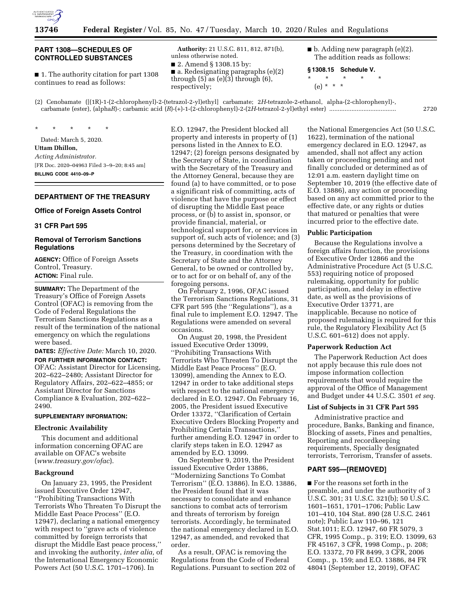

## **PART 1308—SCHEDULES OF CONTROLLED SUBSTANCES**

■ 1. The authority citation for part 1308 continues to read as follows:

**Authority:** 21 U.S.C. 811, 812, 871(b), unless otherwise noted.

■ 2. Amend § 1308.15 by:

■ a. Redesignating paragraphs (e)(2) through  $(5)$  as  $(e)(3)$  through  $(6)$ , respectively;

 $\blacksquare$  b. Adding new paragraph (e)(2). The addition reads as follows:

**§ 1308.15 Schedule V.**  \* \* \* \* \* (e) \* \* \*

(2) Cenobamate ([(1R)-1-(2-chlorophenyl)-2-(tetrazol-2-yl)ethyl] carbamate; 2*H*-tetrazole-2-ethanol, alpha-(2-chlorophenyl)-, carbamate (ester), (alpha*R*)-; carbamic acid (*R*)-(+)-1-(2-chlorophenyl)-2-(2*H*-tetrazol-2-yl)ethyl ester) ....................................... 2720

\* \* \* \* \* Dated: March 5, 2020. **Uttam Dhillon,**  *Acting Administrator.*  [FR Doc. 2020–04963 Filed 3–9–20; 8:45 am] **BILLING CODE 4410–09–P** 

## **DEPARTMENT OF THE TREASURY**

#### **Office of Foreign Assets Control**

#### **31 CFR Part 595**

## **Removal of Terrorism Sanctions Regulations**

**AGENCY:** Office of Foreign Assets Control, Treasury. **ACTION:** Final rule.

**SUMMARY:** The Department of the Treasury's Office of Foreign Assets Control (OFAC) is removing from the Code of Federal Regulations the Terrorism Sanctions Regulations as a result of the termination of the national emergency on which the regulations were based.

**DATES:** *Effective Date:* March 10, 2020. **FOR FURTHER INFORMATION CONTACT:**  OFAC: Assistant Director for Licensing, 202–622–2480; Assistant Director for Regulatory Affairs, 202–622–4855; or Assistant Director for Sanctions Compliance & Evaluation, 202–622– 2490.

### **SUPPLEMENTARY INFORMATION:**

## **Electronic Availability**

This document and additional information concerning OFAC are available on OFAC's website (*[www.treasury.gov/ofac](http://www.treasury.gov/ofac)*).

#### **Background**

On January 23, 1995, the President issued Executive Order 12947, ''Prohibiting Transactions With Terrorists Who Threaten To Disrupt the Middle East Peace Process'' (E.O. 12947), declaring a national emergency with respect to ''grave acts of violence committed by foreign terrorists that disrupt the Middle East peace process,'' and invoking the authority, *inter alia,* of the International Emergency Economic Powers Act (50 U.S.C. 1701–1706). In

E.O. 12947, the President blocked all property and interests in property of (1) persons listed in the Annex to E.O. 12947; (2) foreign persons designated by the Secretary of State, in coordination with the Secretary of the Treasury and the Attorney General, because they are found (a) to have committed, or to pose a significant risk of committing, acts of violence that have the purpose or effect of disrupting the Middle East peace process, or (b) to assist in, sponsor, or provide financial, material, or technological support for, or services in support of, such acts of violence; and (3) persons determined by the Secretary of the Treasury, in coordination with the Secretary of State and the Attorney General, to be owned or controlled by, or to act for or on behalf of, any of the foregoing persons.

On February 2, 1996, OFAC issued the Terrorism Sanctions Regulations, 31 CFR part 595 (the ''Regulations''), as a final rule to implement E.O. 12947. The Regulations were amended on several occasions.

On August 20, 1998, the President issued Executive Order 13099, ''Prohibiting Transactions With Terrorists Who Threaten To Disrupt the Middle East Peace Process'' (E.O. 13099), amending the Annex to E.O. 12947 in order to take additional steps with respect to the national emergency declared in E.O. 12947. On February 16, 2005, the President issued Executive Order 13372, ''Clarification of Certain Executive Orders Blocking Property and Prohibiting Certain Transactions,'' further amending E.O. 12947 in order to clarify steps taken in E.O. 12947 as amended by E.O. 13099.

On September 9, 2019, the President issued Executive Order 13886, ''Modernizing Sanctions To Combat Terrorism'' (E.O. 13886). In E.O. 13886, the President found that it was necessary to consolidate and enhance sanctions to combat acts of terrorism and threats of terrorism by foreign terrorists. Accordingly, he terminated the national emergency declared in E.O. 12947, as amended, and revoked that order.

As a result, OFAC is removing the Regulations from the Code of Federal Regulations. Pursuant to section 202 of

the National Emergencies Act (50 U.S.C. 1622), termination of the national emergency declared in E.O. 12947, as amended, shall not affect any action taken or proceeding pending and not finally concluded or determined as of 12:01 a.m. eastern daylight time on September 10, 2019 (the effective date of E.O. 13886), any action or proceeding based on any act committed prior to the effective date, or any rights or duties that matured or penalties that were incurred prior to the effective date.

#### **Public Participation**

Because the Regulations involve a foreign affairs function, the provisions of Executive Order 12866 and the Administrative Procedure Act (5 U.S.C. 553) requiring notice of proposed rulemaking, opportunity for public participation, and delay in effective date, as well as the provisions of Executive Order 13771, are inapplicable. Because no notice of proposed rulemaking is required for this rule, the Regulatory Flexibility Act (5 U.S.C. 601–612) does not apply.

#### **Paperwork Reduction Act**

The Paperwork Reduction Act does not apply because this rule does not impose information collection requirements that would require the approval of the Office of Management and Budget under 44 U.S.C. 3501 *et seq.* 

# **List of Subjects in 31 CFR Part 595**

Administrative practice and procedure, Banks, Banking and finance, Blocking of assets, Fines and penalties, Reporting and recordkeeping requirements, Specially designated terrorists, Terrorism, Transfer of assets.

#### **PART 595—[REMOVED]**

■ For the reasons set forth in the preamble, and under the authority of 3 U.S.C. 301; 31 U.S.C. 321(b); 50 U.S.C. 1601–1651, 1701–1706; Public Law 101–410, 104 Stat. 890 (28 U.S.C. 2461 note); Public Law 110–96, 121 Stat.1011; E.O. 12947, 60 FR 5079, 3 CFR, 1995 Comp., p. 319; E.O. 13099, 63 FR 45167, 3 CFR, 1998 Comp., p. 208; E.O. 13372, 70 FR 8499, 3 CFR, 2006 Comp., p. 159; and E.O. 13886, 84 FR 48041 (September 12, 2019), OFAC